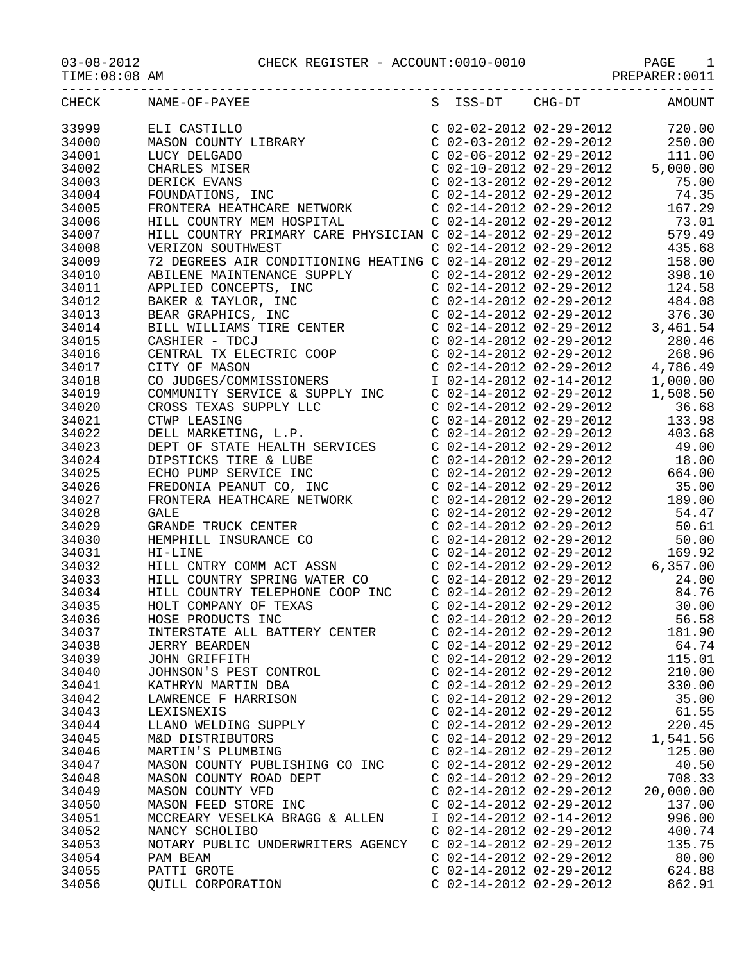|                | CHECK NAME-OF-PAYEE               |                           | S ISS-DT CHG-DT AMOUNT |
|----------------|-----------------------------------|---------------------------|------------------------|
| 33999          |                                   |                           |                        |
| 34000          |                                   |                           |                        |
| 34001          |                                   |                           |                        |
| 34002          |                                   |                           |                        |
| 34003          |                                   |                           |                        |
| 34004          |                                   |                           |                        |
| 34005          |                                   |                           |                        |
| 34006          |                                   |                           |                        |
| 34007          |                                   |                           |                        |
| 34008          |                                   |                           |                        |
| 34009          |                                   |                           |                        |
| 34010          |                                   |                           |                        |
| 34011          |                                   |                           |                        |
| 34012          |                                   |                           |                        |
| 34013          |                                   |                           |                        |
| 34014          |                                   |                           |                        |
| 34015          |                                   |                           |                        |
|                |                                   |                           |                        |
| 34016<br>34017 |                                   |                           |                        |
|                |                                   |                           |                        |
| 34018          |                                   |                           |                        |
| 34019          |                                   |                           |                        |
| 34020          |                                   |                           |                        |
| 34021          |                                   |                           |                        |
| 34022          |                                   |                           |                        |
| 34023          |                                   |                           |                        |
| 34024          |                                   |                           |                        |
| 34025          |                                   |                           |                        |
| 34026          |                                   |                           |                        |
| 34027          |                                   |                           |                        |
| 34028          |                                   |                           |                        |
| 34029          |                                   |                           |                        |
| 34030          |                                   |                           |                        |
| 34031          |                                   |                           |                        |
| 34032          |                                   |                           |                        |
| 34033          |                                   |                           |                        |
| 34034          |                                   |                           |                        |
| 34035          |                                   |                           |                        |
| 34036          |                                   |                           |                        |
| 34037          | INTERSTATE ALL BATTERY CENTER     | C 02-14-2012 02-29-2012   | 181.90                 |
| 34038          | <b>JERRY BEARDEN</b>              | $C$ 02-14-2012 02-29-2012 | 64.74                  |
| 34039          | JOHN GRIFFITH                     | $C$ 02-14-2012 02-29-2012 | 115.01                 |
| 34040          | JOHNSON'S PEST CONTROL            | $C$ 02-14-2012 02-29-2012 | 210.00                 |
| 34041          | KATHRYN MARTIN DBA                | $C$ 02-14-2012 02-29-2012 | 330.00                 |
| 34042          | LAWRENCE F HARRISON               | $C$ 02-14-2012 02-29-2012 | 35.00                  |
| 34043          | LEXISNEXIS                        | $C$ 02-14-2012 02-29-2012 | 61.55                  |
| 34044          | LLANO WELDING SUPPLY              | $C$ 02-14-2012 02-29-2012 | 220.45                 |
| 34045          | M&D DISTRIBUTORS                  | $C$ 02-14-2012 02-29-2012 | 1,541.56               |
| 34046          | MARTIN'S PLUMBING                 | $C$ 02-14-2012 02-29-2012 | 125.00                 |
| 34047          | MASON COUNTY PUBLISHING CO INC    | $C$ 02-14-2012 02-29-2012 | 40.50                  |
| 34048          | MASON COUNTY ROAD DEPT            | $C$ 02-14-2012 02-29-2012 | 708.33                 |
| 34049          | MASON COUNTY VFD                  | $C$ 02-14-2012 02-29-2012 | 20,000.00              |
| 34050          | MASON FEED STORE INC              | $C$ 02-14-2012 02-29-2012 | 137.00                 |
| 34051          | MCCREARY VESELKA BRAGG & ALLEN    | I 02-14-2012 02-14-2012   | 996.00                 |
| 34052          | NANCY SCHOLIBO                    | $C$ 02-14-2012 02-29-2012 | 400.74                 |
| 34053          | NOTARY PUBLIC UNDERWRITERS AGENCY | $C$ 02-14-2012 02-29-2012 | 135.75                 |
| 34054          | PAM BEAM                          | $C$ 02-14-2012 02-29-2012 | 80.00                  |
| 34055          | PATTI GROTE                       | $C$ 02-14-2012 02-29-2012 | 624.88                 |
| 34056          | QUILL CORPORATION                 | $C$ 02-14-2012 02-29-2012 | 862.91                 |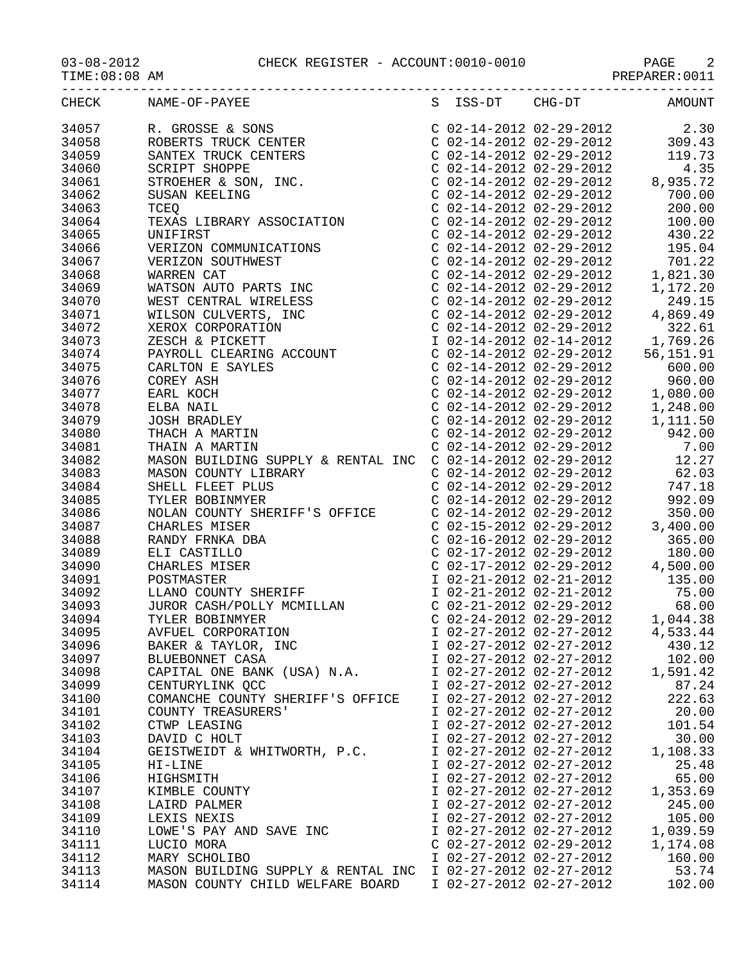03-08-2012 CHECK REGISTER - ACCOUNT:0010-0010 PAGE 2

|       | CHECK NAME-OF-PAYEE                                        |                           | S ISS-DT CHG-DT AMOUNT |
|-------|------------------------------------------------------------|---------------------------|------------------------|
| 34057 |                                                            |                           |                        |
| 34058 |                                                            |                           |                        |
| 34059 |                                                            |                           |                        |
| 34060 |                                                            |                           |                        |
| 34061 |                                                            |                           |                        |
| 34062 |                                                            |                           |                        |
| 34063 |                                                            |                           |                        |
|       |                                                            |                           |                        |
| 34064 |                                                            |                           |                        |
| 34065 |                                                            |                           |                        |
| 34066 |                                                            |                           |                        |
| 34067 |                                                            |                           |                        |
| 34068 |                                                            |                           |                        |
| 34069 |                                                            |                           |                        |
| 34070 |                                                            |                           |                        |
| 34071 |                                                            |                           |                        |
| 34072 |                                                            |                           |                        |
| 34073 |                                                            |                           |                        |
| 34074 |                                                            |                           |                        |
| 34075 |                                                            |                           |                        |
| 34076 |                                                            |                           |                        |
| 34077 |                                                            |                           |                        |
| 34078 |                                                            |                           |                        |
| 34079 |                                                            |                           |                        |
|       |                                                            |                           |                        |
| 34080 |                                                            |                           |                        |
| 34081 |                                                            |                           |                        |
| 34082 |                                                            |                           |                        |
| 34083 |                                                            |                           |                        |
| 34084 |                                                            |                           |                        |
| 34085 |                                                            |                           |                        |
| 34086 |                                                            |                           |                        |
| 34087 |                                                            |                           |                        |
| 34088 |                                                            |                           |                        |
| 34089 |                                                            |                           |                        |
| 34090 |                                                            |                           |                        |
| 34091 |                                                            |                           |                        |
| 34092 |                                                            |                           |                        |
| 34093 |                                                            |                           |                        |
| 34094 |                                                            |                           |                        |
| 34095 | AVFUEL CORPORATION                                         | I 02-27-2012 02-27-2012   | 4,533.44               |
| 34096 | BAKER & TAYLOR, INC                                        | I 02-27-2012 02-27-2012   | 430.12                 |
| 34097 | BLUEBONNET CASA                                            | I 02-27-2012 02-27-2012   | 102.00                 |
|       |                                                            |                           |                        |
| 34098 | CAPITAL ONE BANK (USA) N.A.                                | I 02-27-2012 02-27-2012   | 1,591.42               |
| 34099 | CENTURYLINK QCC                                            | I 02-27-2012 02-27-2012   | 87.24                  |
| 34100 | COMANCHE COUNTY SHERIFF'S OFFICE                           | I 02-27-2012 02-27-2012   | 222.63                 |
| 34101 | COUNTY TREASURERS'                                         | I 02-27-2012 02-27-2012   | 20.00                  |
| 34102 | CTWP LEASING                                               | I 02-27-2012 02-27-2012   | 101.54                 |
| 34103 | DAVID C HOLT                                               | I 02-27-2012 02-27-2012   | 30.00                  |
| 34104 | GEISTWEIDT & WHITWORTH, P.C.                               | I 02-27-2012 02-27-2012   | 1,108.33               |
| 34105 | HI-LINE                                                    | I 02-27-2012 02-27-2012   | 25.48                  |
| 34106 | HIGHSMITH                                                  | I 02-27-2012 02-27-2012   | 65.00                  |
| 34107 | KIMBLE COUNTY                                              | I 02-27-2012 02-27-2012   | 1,353.69               |
| 34108 | LAIRD PALMER                                               | I 02-27-2012 02-27-2012   | 245.00                 |
| 34109 | LEXIS NEXIS                                                | I 02-27-2012 02-27-2012   | 105.00                 |
| 34110 | LOWE'S PAY AND SAVE INC                                    | I 02-27-2012 02-27-2012   | 1,039.59               |
| 34111 | LUCIO MORA                                                 | $C$ 02-27-2012 02-29-2012 | 1,174.08               |
| 34112 | MARY SCHOLIBO                                              | I 02-27-2012 02-27-2012   | 160.00                 |
|       |                                                            |                           |                        |
| 34113 | MASON BUILDING SUPPLY & RENTAL INC I 02-27-2012 02-27-2012 |                           | 53.74                  |

34114 MASON COUNTY CHILD WELFARE BOARD I 02-27-2012 02-27-2012 102.00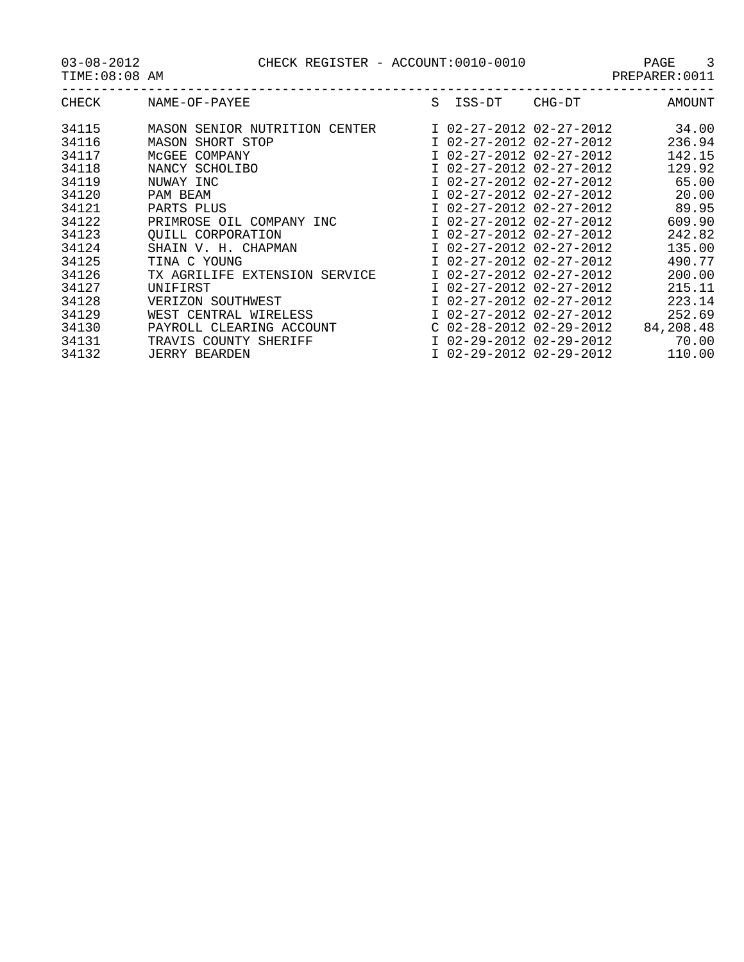| CHECK | NAME-OF-PAYEE                 | S | ISS-DT                    | CHG-DT | <b>AMOUNT</b> |
|-------|-------------------------------|---|---------------------------|--------|---------------|
| 34115 | MASON SENIOR NUTRITION CENTER |   | I 02-27-2012 02-27-2012   |        | 34.00         |
| 34116 | MASON SHORT STOP              |   | I 02-27-2012 02-27-2012   |        | 236.94        |
| 34117 | MCGEE COMPANY                 |   | I 02-27-2012 02-27-2012   |        | 142.15        |
| 34118 | NANCY SCHOLIBO                |   | I 02-27-2012 02-27-2012   |        | 129.92        |
| 34119 | NUWAY INC                     |   | I 02-27-2012 02-27-2012   |        | 65.00         |
| 34120 | PAM BEAM                      |   | I 02-27-2012 02-27-2012   |        | 20.00         |
| 34121 | PARTS PLUS                    |   | I 02-27-2012 02-27-2012   |        | 89.95         |
| 34122 | PRIMROSE OIL COMPANY INC      |   | I 02-27-2012 02-27-2012   |        | 609.90        |
| 34123 | OUILL CORPORATION             |   | I 02-27-2012 02-27-2012   |        | 242.82        |
| 34124 | SHAIN V. H. CHAPMAN           |   | I 02-27-2012 02-27-2012   |        | 135.00        |
| 34125 | TINA C YOUNG                  |   | I 02-27-2012 02-27-2012   |        | 490.77        |
| 34126 | TX AGRILIFE EXTENSION SERVICE |   | I 02-27-2012 02-27-2012   |        | 200.00        |
| 34127 | UNIFIRST                      |   | I 02-27-2012 02-27-2012   |        | 215.11        |
| 34128 | VERIZON SOUTHWEST             |   | I 02-27-2012 02-27-2012   |        | 223.14        |
| 34129 | WEST CENTRAL WIRELESS         |   | I 02-27-2012 02-27-2012   |        | 252.69        |
| 34130 | PAYROLL CLEARING ACCOUNT      |   | $C$ 02-28-2012 02-29-2012 |        | 84,208.48     |
| 34131 | TRAVIS COUNTY SHERIFF         |   | I 02-29-2012 02-29-2012   |        | 70.00         |
| 34132 | <b>JERRY BEARDEN</b>          |   | I 02-29-2012 02-29-2012   |        | 110.00        |